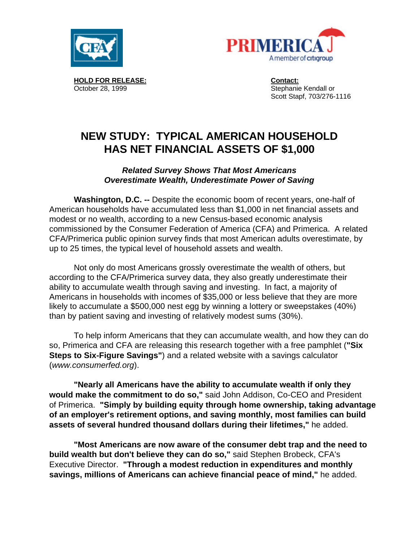



 **HOLD FOR RELEASE: Contact:** October 28, 1999 Stephanie Kendall or

Scott Stapf, 703/276-1116

# **NEW STUDY: TYPICAL AMERICAN HOUSEHOLD HAS NET FINANCIAL ASSETS OF \$1,000**

*Related Survey Shows That Most Americans Overestimate Wealth, Underestimate Power of Saving*

**Washington, D.C. --** Despite the economic boom of recent years, one-half of American households have accumulated less than \$1,000 in net financial assets and modest or no wealth, according to a new Census-based economic analysis commissioned by the Consumer Federation of America (CFA) and Primerica. A related CFA/Primerica public opinion survey finds that most American adults overestimate, by up to 25 times, the typical level of household assets and wealth.

Not only do most Americans grossly overestimate the wealth of others, but according to the CFA/Primerica survey data, they also greatly underestimate their ability to accumulate wealth through saving and investing. In fact, a majority of Americans in households with incomes of \$35,000 or less believe that they are more likely to accumulate a \$500,000 nest egg by winning a lottery or sweepstakes (40%) than by patient saving and investing of relatively modest sums (30%).

To help inform Americans that they can accumulate wealth, and how they can do so, Primerica and CFA are releasing this research together with a free pamphlet (**"Six Steps to Six-Figure Savings"**) and a related website with a savings calculator (*www.consumerfed.org*).

**"Nearly all Americans have the ability to accumulate wealth if only they would make the commitment to do so,"** said John Addison, Co-CEO and President of Primerica. **"Simply by building equity through home ownership, taking advantage of an employer's retirement options, and saving monthly, most families can build assets of several hundred thousand dollars during their lifetimes,"** he added.

**"Most Americans are now aware of the consumer debt trap and the need to build wealth but don't believe they can do so,"** said Stephen Brobeck, CFA's Executive Director. **"Through a modest reduction in expenditures and monthly savings, millions of Americans can achieve financial peace of mind,"** he added.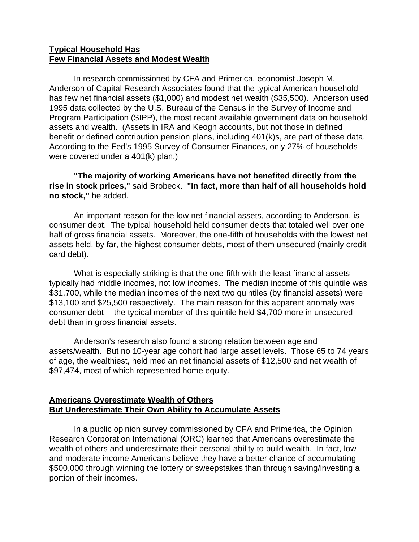# **Typical Household Has Few Financial Assets and Modest Wealth**

In research commissioned by CFA and Primerica, economist Joseph M. Anderson of Capital Research Associates found that the typical American household has few net financial assets (\$1,000) and modest net wealth (\$35,500). Anderson used 1995 data collected by the U.S. Bureau of the Census in the Survey of Income and Program Participation (SIPP), the most recent available government data on household assets and wealth. (Assets in IRA and Keogh accounts, but not those in defined benefit or defined contribution pension plans, including 401(k)s, are part of these data. According to the Fed's 1995 Survey of Consumer Finances, only 27% of households were covered under a 401(k) plan.)

**"The majority of working Americans have not benefited directly from the rise in stock prices,"** said Brobeck. **"In fact, more than half of all households hold no stock,"** he added.

An important reason for the low net financial assets, according to Anderson, is consumer debt. The typical household held consumer debts that totaled well over one half of gross financial assets. Moreover, the one-fifth of households with the lowest net assets held, by far, the highest consumer debts, most of them unsecured (mainly credit card debt).

What is especially striking is that the one-fifth with the least financial assets typically had middle incomes, not low incomes. The median income of this quintile was \$31,700, while the median incomes of the next two quintiles (by financial assets) were \$13,100 and \$25,500 respectively. The main reason for this apparent anomaly was consumer debt -- the typical member of this quintile held \$4,700 more in unsecured debt than in gross financial assets.

Anderson's research also found a strong relation between age and assets/wealth. But no 10-year age cohort had large asset levels. Those 65 to 74 years of age, the wealthiest, held median net financial assets of \$12,500 and net wealth of \$97,474, most of which represented home equity.

# **Americans Overestimate Wealth of Others But Underestimate Their Own Ability to Accumulate Assets**

In a public opinion survey commissioned by CFA and Primerica, the Opinion Research Corporation International (ORC) learned that Americans overestimate the wealth of others and underestimate their personal ability to build wealth. In fact, low and moderate income Americans believe they have a better chance of accumulating \$500,000 through winning the lottery or sweepstakes than through saving/investing a portion of their incomes.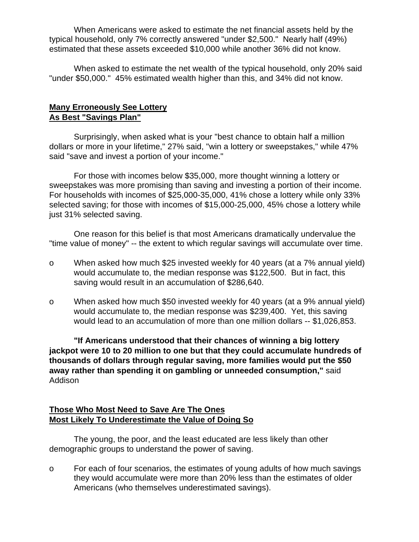When Americans were asked to estimate the net financial assets held by the typical household, only 7% correctly answered "under \$2,500." Nearly half (49%) estimated that these assets exceeded \$10,000 while another 36% did not know.

When asked to estimate the net wealth of the typical household, only 20% said "under \$50,000." 45% estimated wealth higher than this, and 34% did not know.

# **Many Erroneously See Lottery As Best "Savings Plan"**

Surprisingly, when asked what is your "best chance to obtain half a million dollars or more in your lifetime," 27% said, "win a lottery or sweepstakes," while 47% said "save and invest a portion of your income."

For those with incomes below \$35,000, more thought winning a lottery or sweepstakes was more promising than saving and investing a portion of their income. For households with incomes of \$25,000-35,000, 41% chose a lottery while only 33% selected saving; for those with incomes of \$15,000-25,000, 45% chose a lottery while just 31% selected saving.

One reason for this belief is that most Americans dramatically undervalue the "time value of money" -- the extent to which regular savings will accumulate over time.

- o When asked how much \$25 invested weekly for 40 years (at a 7% annual yield) would accumulate to, the median response was \$122,500. But in fact, this saving would result in an accumulation of \$286,640.
- o When asked how much \$50 invested weekly for 40 years (at a 9% annual yield) would accumulate to, the median response was \$239,400. Yet, this saving would lead to an accumulation of more than one million dollars -- \$1,026,853.

**"If Americans understood that their chances of winning a big lottery jackpot were 10 to 20 million to one but that they could accumulate hundreds of thousands of dollars through regular saving, more families would put the \$50 away rather than spending it on gambling or unneeded consumption,"** said Addison

# **Those Who Most Need to Save Are The Ones Most Likely To Underestimate the Value of Doing So**

The young, the poor, and the least educated are less likely than other demographic groups to understand the power of saving.

o For each of four scenarios, the estimates of young adults of how much savings they would accumulate were more than 20% less than the estimates of older Americans (who themselves underestimated savings).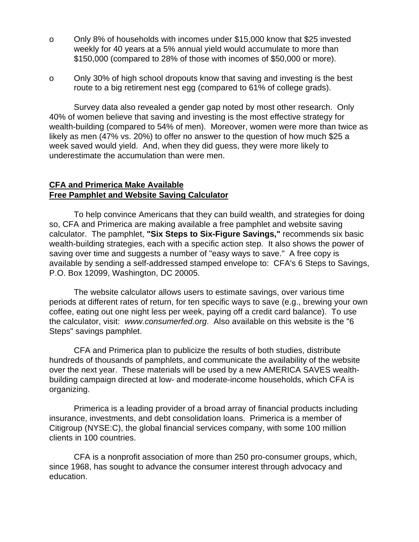- o Only 8% of households with incomes under \$15,000 know that \$25 invested weekly for 40 years at a 5% annual yield would accumulate to more than \$150,000 (compared to 28% of those with incomes of \$50,000 or more).
- o Only 30% of high school dropouts know that saving and investing is the best route to a big retirement nest egg (compared to 61% of college grads).

Survey data also revealed a gender gap noted by most other research. Only 40% of women believe that saving and investing is the most effective strategy for wealth-building (compared to 54% of men). Moreover, women were more than twice as likely as men (47% vs. 20%) to offer no answer to the question of how much \$25 a week saved would yield. And, when they did guess, they were more likely to underestimate the accumulation than were men.

#### **CFA and Primerica Make Available Free Pamphlet and Website Saving Calculator**

To help convince Americans that they can build wealth, and strategies for doing so, CFA and Primerica are making available a free pamphlet and website saving calculator. The pamphlet, **"Six Steps to Six-Figure Savings,"** recommends six basic wealth-building strategies, each with a specific action step. It also shows the power of saving over time and suggests a number of "easy ways to save." A free copy is available by sending a self-addressed stamped envelope to: CFA's 6 Steps to Savings, P.O. Box 12099, Washington, DC 20005.

The website calculator allows users to estimate savings, over various time periods at different rates of return, for ten specific ways to save (e.g., brewing your own coffee, eating out one night less per week, paying off a credit card balance). To use the calculator, visit: *www.consumerfed.org*. Also available on this website is the "6 Steps" savings pamphlet.

CFA and Primerica plan to publicize the results of both studies, distribute hundreds of thousands of pamphlets, and communicate the availability of the website over the next year. These materials will be used by a new AMERICA SAVES wealthbuilding campaign directed at low- and moderate-income households, which CFA is organizing.

Primerica is a leading provider of a broad array of financial products including insurance, investments, and debt consolidation loans. Primerica is a member of Citigroup (NYSE:C), the global financial services company, with some 100 million clients in 100 countries.

CFA is a nonprofit association of more than 250 pro-consumer groups, which, since 1968, has sought to advance the consumer interest through advocacy and education.